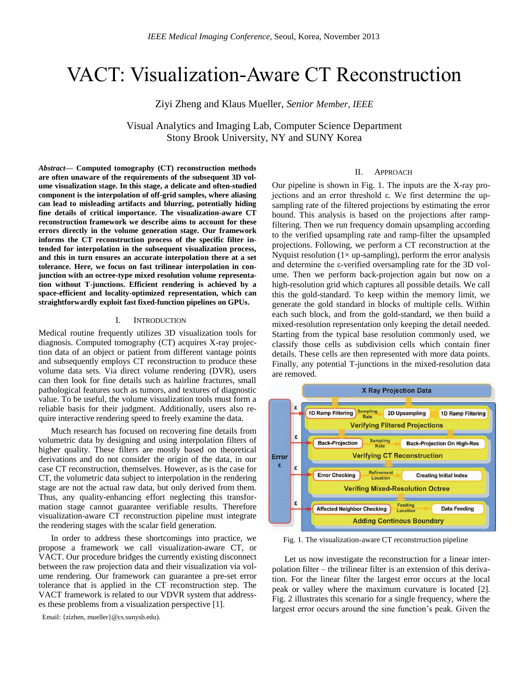# VACT: Visualization-Aware CT Reconstruction

Ziyi Zheng and Klaus Mueller, *Senior Member, IEEE*

Visual Analytics and Imaging Lab, Computer Science Department Stony Brook University, NY and SUNY Korea

*Abstract***— Computed tomography (CT) reconstruction methods are often unaware of the requirements of the subsequent 3D volume visualization stage. In this stage, a delicate and often-studied component is the interpolation of off-grid samples, where aliasing can lead to misleading artifacts and blurring, potentially hiding fine details of critical importance. The visualization-aware CT reconstruction framework we describe aims to account for these errors directly in the volume generation stage. Our framework informs the CT reconstruction process of the specific filter intended for interpolation in the subsequent visualization process, and this in turn ensures an accurate interpolation there at a set tolerance. Here, we focus on fast trilinear interpolation in conjunction with an octree-type mixed resolution volume representation without T-junctions. Efficient rendering is achieved by a space-efficient and locality-optimized representation, which can straightforwardly exploit fast fixed-function pipelines on GPUs.**

### I. INTRODUCTION

Medical routine frequently utilizes 3D visualization tools for diagnosis. Computed tomography (CT) acquires X-ray projection data of an object or patient from different vantage points and subsequently employs CT reconstruction to produce these volume data sets. Via direct volume rendering (DVR), users can then look for fine details such as hairline fractures, small pathological features such as tumors, and textures of diagnostic value. To be useful, the volume visualization tools must form a reliable basis for their judgment. Additionally, users also require interactive rendering speed to freely examine the data.

Much research has focused on recovering fine details from volumetric data by designing and using interpolation filters of higher quality. These filters are mostly based on theoretical derivations and do not consider the origin of the data, in our case CT reconstruction, themselves. However, as is the case for CT, the volumetric data subject to interpolation in the rendering stage are not the actual raw data, but only derived from them. Thus, any quality-enhancing effort neglecting this transformation stage cannot guarantee verifiable results. Therefore visualization-aware CT reconstruction pipeline must integrate the rendering stages with the scalar field generation.

In order to address these shortcomings into practice, we propose a framework we call visualization-aware CT, or VACT. Our procedure bridges the currently existing disconnect between the raw projection data and their visualization via volume rendering. Our framework can guarantee a pre-set error tolerance that is applied in the CT reconstruction step. The VACT framework is related to our VDVR system that addresses these problems from a visualization perspective [\[1\].](#page-1-0)

Email: {zizhen, mueller}@cs.sunysb.edu).

# II. APPROACH

Our pipeline is shown in Fig. 1. The inputs are the X-ray projections and an error threshold ε. We first determine the upsampling rate of the filtered projections by estimating the error bound. This analysis is based on the projections after rampfiltering. Then we run frequency domain upsampling according to the verified upsampling rate and ramp-filter the upsampled projections. Following, we perform a CT reconstruction at the Nyquist resolution  $(1 \times up-sampling)$ , perform the error analysis and determine the ε-verified oversampling rate for the 3D volume. Then we perform back-projection again but now on a high-resolution grid which captures all possible details. We call this the gold-standard. To keep within the memory limit, we generate the gold standard in blocks of multiple cells. Within each such block, and from the gold-standard, we then build a mixed-resolution representation only keeping the detail needed. Starting from the typical base resolution commonly used, we classify those cells as subdivision cells which contain finer details. These cells are then represented with more data points. Finally, any potential T-junctions in the mixed-resolution data are removed.



Fig. 1. The visualization-aware CT reconstrruction pipeline

Let us now investigate the reconstruction for a linear interpolation filter – the trilinear filter is an extension of this derivation. For the linear filter the largest error occurs at the local peak or valley where the maximum curvature is located [\[2\].](#page-1-1) Fig. 2 illustrates this scenario for a single frequency, where the largest error occurs around the sine function's peak. Given the